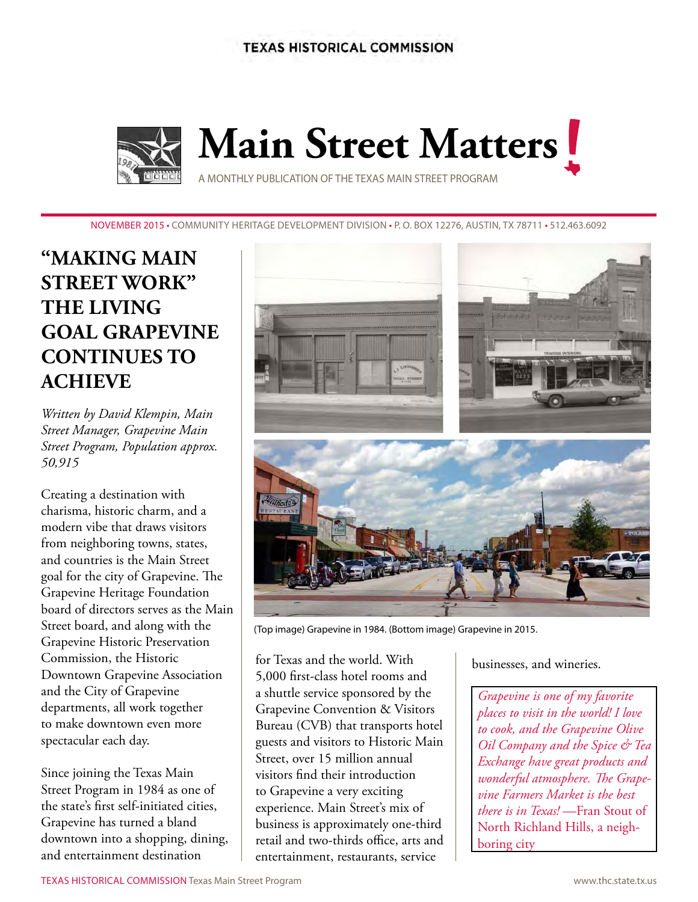**TEXAS HISTORICAL COMMISSION** 



NOVEMBER 2015 • Community Heritage Development Division • P. O. Box 12276, Austin, TX 78711 • 512.463.6092

# **"making main street work" the living goal grapevine continues to achieve**

*Written by David Klempin, Main Street Manager, Grapevine Main Street Program, Population approx. 50,915*

Creating a destination with charisma, historic charm, and a modern vibe that draws visitors from neighboring towns, states, and countries is the Main Street goal for the city of Grapevine. The Grapevine Heritage Foundation board of directors serves as the Main Street board, and along with the Grapevine Historic Preservation Commission, the Historic Downtown Grapevine Association and the City of Grapevine departments, all work together to make downtown even more spectacular each day.

Since joining the Texas Main Street Program in 1984 as one of the state's first self-initiated cities, Grapevine has turned a bland downtown into a shopping, dining, and entertainment destination



(Top image) Grapevine in 1984. (Bottom image) Grapevine in 2015.

for Texas and the world. With 5,000 first-class hotel rooms and a shuttle service sponsored by the Grapevine Convention & Visitors Bureau (CVB) that transports hotel guests and visitors to Historic Main Street, over 15 million annual visitors find their introduction to Grapevine a very exciting experience. Main Street's mix of business is approximately one-third retail and two-thirds office, arts and entertainment, restaurants, service

businesses, and wineries.

*Grapevine is one of my favorite places to visit in the world! I love to cook, and the Grapevine Olive Oil Company and the Spice & Tea Exchange have great products and wonderful atmosphere. The Grapevine Farmers Market is the best there is in Texas!* —Fran Stout of North Richland Hills, a neighboring city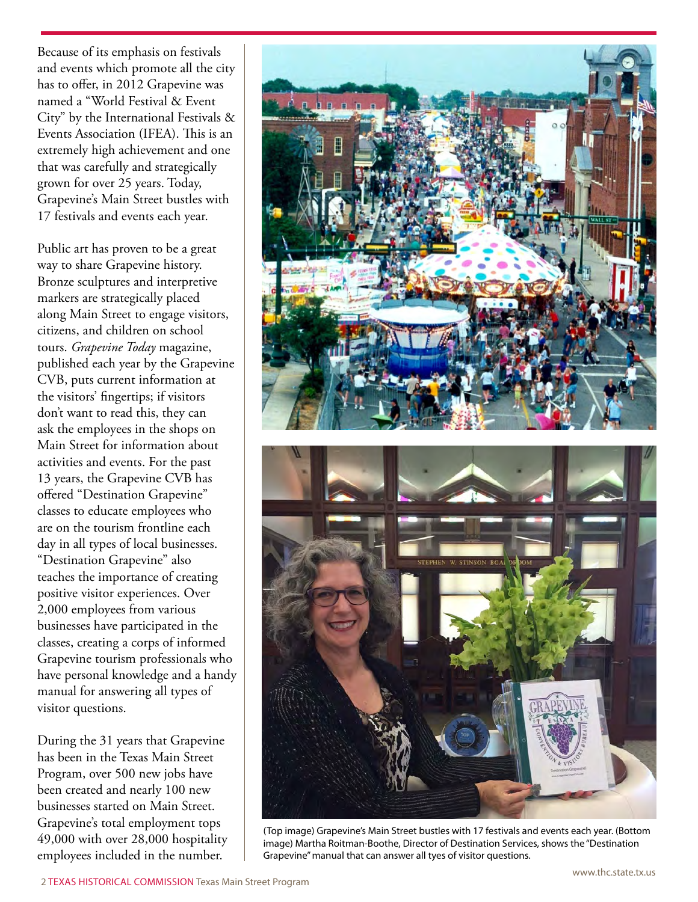Because of its emphasis on festivals and events which promote all the city has to offer, in 2012 Grapevine was named a "World Festival & Event City" by the International Festivals & Events Association (IFEA). This is an extremely high achievement and one that was carefully and strategically grown for over 25 years. Today, Grapevine's Main Street bustles with 17 festivals and events each year.

Public art has proven to be a great way to share Grapevine history. Bronze sculptures and interpretive markers are strategically placed along Main Street to engage visitors, citizens, and children on school tours. *Grapevine Today* magazine, published each year by the Grapevine CVB, puts current information at the visitors' fingertips; if visitors don't want to read this, they can ask the employees in the shops on Main Street for information about activities and events. For the past 13 years, the Grapevine CVB has offered "Destination Grapevine" classes to educate employees who are on the tourism frontline each day in all types of local businesses. "Destination Grapevine" also teaches the importance of creating positive visitor experiences. Over 2,000 employees from various businesses have participated in the classes, creating a corps of informed Grapevine tourism professionals who have personal knowledge and a handy manual for answering all types of visitor questions.

During the 31 years that Grapevine has been in the Texas Main Street Program, over 500 new jobs have been created and nearly 100 new businesses started on Main Street. Grapevine's total employment tops 49,000 with over 28,000 hospitality employees included in the number.



(Top image) Grapevine's Main Street bustles with 17 festivals and events each year. (Bottom image) Martha Roitman-Boothe, Director of Destination Services, shows the "Destination Grapevine" manual that can answer all tyes of visitor questions.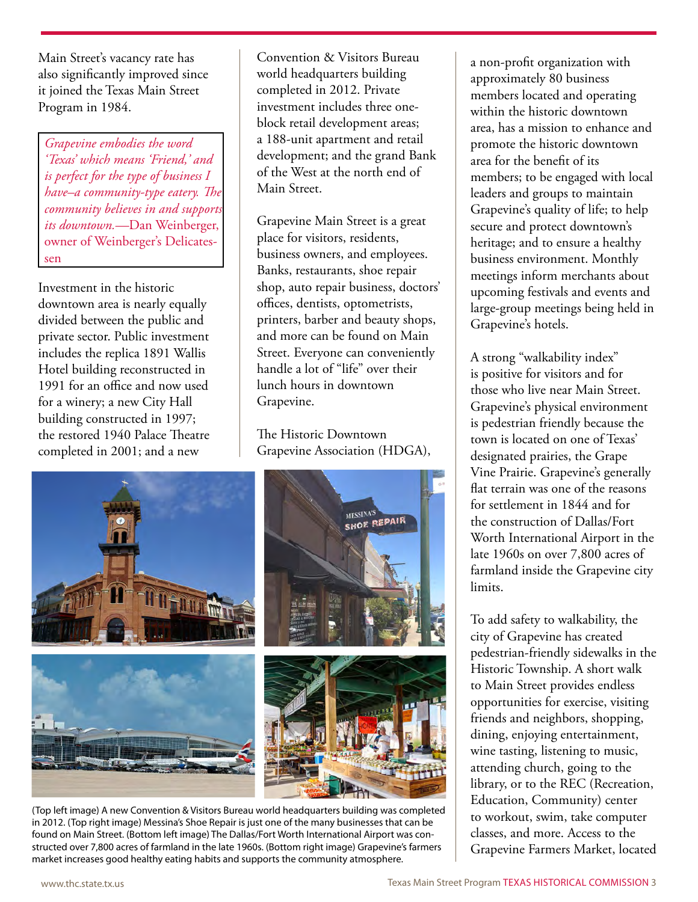Main Street's vacancy rate has also significantly improved since it joined the Texas Main Street Program in 1984.

*Grapevine embodies the word 'Texas' which means 'Friend,' and is perfect for the type of business I have–a community-type eatery. The community believes in and supports its downtown.—*Dan Weinberger, owner of Weinberger's Delicatessen

Investment in the historic downtown area is nearly equally divided between the public and private sector. Public investment includes the replica 1891 Wallis Hotel building reconstructed in 1991 for an office and now used for a winery; a new City Hall building constructed in 1997; the restored 1940 Palace Theatre completed in 2001; and a new

Convention & Visitors Bureau world headquarters building completed in 2012. Private investment includes three oneblock retail development areas; a 188-unit apartment and retail development; and the grand Bank of the West at the north end of Main Street.

Grapevine Main Street is a great place for visitors, residents, business owners, and employees. Banks, restaurants, shoe repair shop, auto repair business, doctors' offices, dentists, optometrists, printers, barber and beauty shops, and more can be found on Main Street. Everyone can conveniently handle a lot of "life" over their lunch hours in downtown Grapevine.

The Historic Downtown Grapevine Association (HDGA),



(Top left image) A new Convention & Visitors Bureau world headquarters building was completed in 2012. (Top right image) Messina's Shoe Repair is just one of the many businesses that can be found on Main Street. (Bottom left image) The Dallas/Fort Worth International Airport was constructed over 7,800 acres of farmland in the late 1960s. (Bottom right image) Grapevine's farmers market increases good healthy eating habits and supports the community atmosphere.

a non-profit organization with approximately 80 business members located and operating within the historic downtown area, has a mission to enhance and promote the historic downtown area for the benefit of its members; to be engaged with local leaders and groups to maintain Grapevine's quality of life; to help secure and protect downtown's heritage; and to ensure a healthy business environment. Monthly meetings inform merchants about upcoming festivals and events and large-group meetings being held in Grapevine's hotels.

A strong "walkability index" is positive for visitors and for those who live near Main Street. Grapevine's physical environment is pedestrian friendly because the town is located on one of Texas' designated prairies, the Grape Vine Prairie. Grapevine's generally flat terrain was one of the reasons for settlement in 1844 and for the construction of Dallas/Fort Worth International Airport in the late 1960s on over 7,800 acres of farmland inside the Grapevine city limits.

To add safety to walkability, the city of Grapevine has created pedestrian-friendly sidewalks in the Historic Township. A short walk to Main Street provides endless opportunities for exercise, visiting friends and neighbors, shopping, dining, enjoying entertainment, wine tasting, listening to music, attending church, going to the library, or to the REC (Recreation, Education, Community) center to workout, swim, take computer classes, and more. Access to the Grapevine Farmers Market, located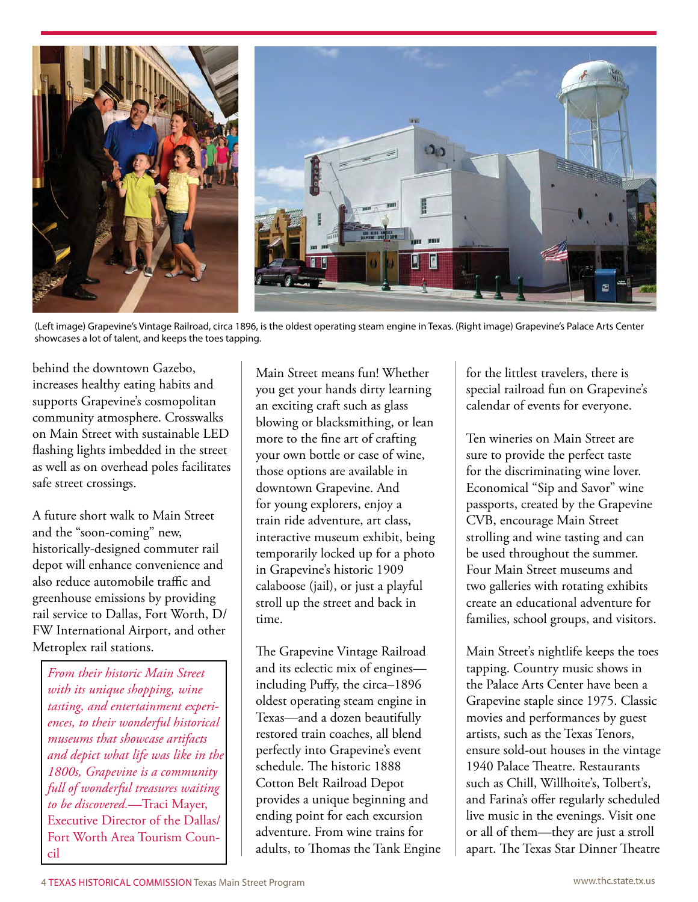

(Left image) Grapevine's Vintage Railroad, circa 1896, is the oldest operating steam engine in Texas. (Right image) Grapevine's Palace Arts Center showcases a lot of talent, and keeps the toes tapping.

behind the downtown Gazebo, increases healthy eating habits and supports Grapevine's cosmopolitan community atmosphere. Crosswalks on Main Street with sustainable LED flashing lights imbedded in the street as well as on overhead poles facilitates safe street crossings.

A future short walk to Main Street and the "soon-coming" new, historically-designed commuter rail depot will enhance convenience and also reduce automobile traffic and greenhouse emissions by providing rail service to Dallas, Fort Worth, D/ FW International Airport, and other Metroplex rail stations.

*From their historic Main Street with its unique shopping, wine tasting, and entertainment experiences, to their wonderful historical museums that showcase artifacts and depict what life was like in the 1800s, Grapevine is a community full of wonderful treasures waiting to be discovered.—*Traci Mayer, Executive Director of the Dallas/ Fort Worth Area Tourism Council

Main Street means fun! Whether you get your hands dirty learning an exciting craft such as glass blowing or blacksmithing, or lean more to the fine art of crafting your own bottle or case of wine, those options are available in downtown Grapevine. And for young explorers, enjoy a train ride adventure, art class, interactive museum exhibit, being temporarily locked up for a photo in Grapevine's historic 1909 calaboose (jail), or just a playful stroll up the street and back in time.

The Grapevine Vintage Railroad and its eclectic mix of engines including Puffy, the circa–1896 oldest operating steam engine in Texas—and a dozen beautifully restored train coaches, all blend perfectly into Grapevine's event schedule. The historic 1888 Cotton Belt Railroad Depot provides a unique beginning and ending point for each excursion adventure. From wine trains for adults, to Thomas the Tank Engine for the littlest travelers, there is special railroad fun on Grapevine's calendar of events for everyone.

Ten wineries on Main Street are sure to provide the perfect taste for the discriminating wine lover. Economical "Sip and Savor" wine passports, created by the Grapevine CVB, encourage Main Street strolling and wine tasting and can be used throughout the summer. Four Main Street museums and two galleries with rotating exhibits create an educational adventure for families, school groups, and visitors.

Main Street's nightlife keeps the toes tapping. Country music shows in the Palace Arts Center have been a Grapevine staple since 1975. Classic movies and performances by guest artists, such as the Texas Tenors, ensure sold-out houses in the vintage 1940 Palace Theatre. Restaurants such as Chill, Willhoite's, Tolbert's, and Farina's offer regularly scheduled live music in the evenings. Visit one or all of them—they are just a stroll apart. The Texas Star Dinner Theatre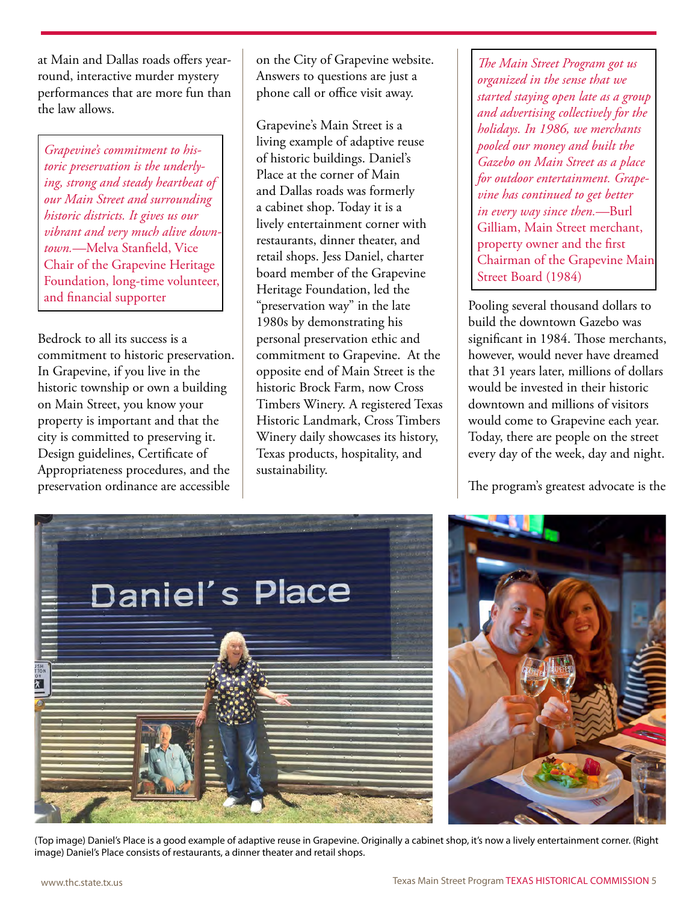at Main and Dallas roads offers yearround, interactive murder mystery performances that are more fun than the law allows.

*Grapevine's commitment to historic preservation is the underlying, strong and steady heartbeat of our Main Street and surrounding historic districts. It gives us our vibrant and very much alive downtown.—*Melva Stanfield, Vice Chair of the Grapevine Heritage Foundation, long-time volunteer, and financial supporter

Bedrock to all its success is a commitment to historic preservation. In Grapevine, if you live in the historic township or own a building on Main Street, you know your property is important and that the city is committed to preserving it. Design guidelines, Certificate of Appropriateness procedures, and the preservation ordinance are accessible

on the City of Grapevine website. Answers to questions are just a phone call or office visit away.

Grapevine's Main Street is a living example of adaptive reuse of historic buildings. Daniel's Place at the corner of Main and Dallas roads was formerly a cabinet shop. Today it is a lively entertainment corner with restaurants, dinner theater, and retail shops. Jess Daniel, charter board member of the Grapevine Heritage Foundation, led the "preservation way" in the late 1980s by demonstrating his personal preservation ethic and commitment to Grapevine. At the opposite end of Main Street is the historic Brock Farm, now Cross Timbers Winery. A registered Texas Historic Landmark, Cross Timbers Winery daily showcases its history, Texas products, hospitality, and sustainability.

*The Main Street Program got us organized in the sense that we started staying open late as a group and advertising collectively for the holidays. In 1986, we merchants pooled our money and built the Gazebo on Main Street as a place for outdoor entertainment. Grapevine has continued to get better in every way since then.—*Burl Gilliam, Main Street merchant, property owner and the first Chairman of the Grapevine Main Street Board (1984)

Pooling several thousand dollars to build the downtown Gazebo was significant in 1984. Those merchants, however, would never have dreamed that 31 years later, millions of dollars would be invested in their historic downtown and millions of visitors would come to Grapevine each year. Today, there are people on the street every day of the week, day and night.

The program's greatest advocate is the



(Top image) Daniel's Place is a good example of adaptive reuse in Grapevine. Originally a cabinet shop, it's now a lively entertainment corner. (Right image) Daniel's Place consists of restaurants, a dinner theater and retail shops.

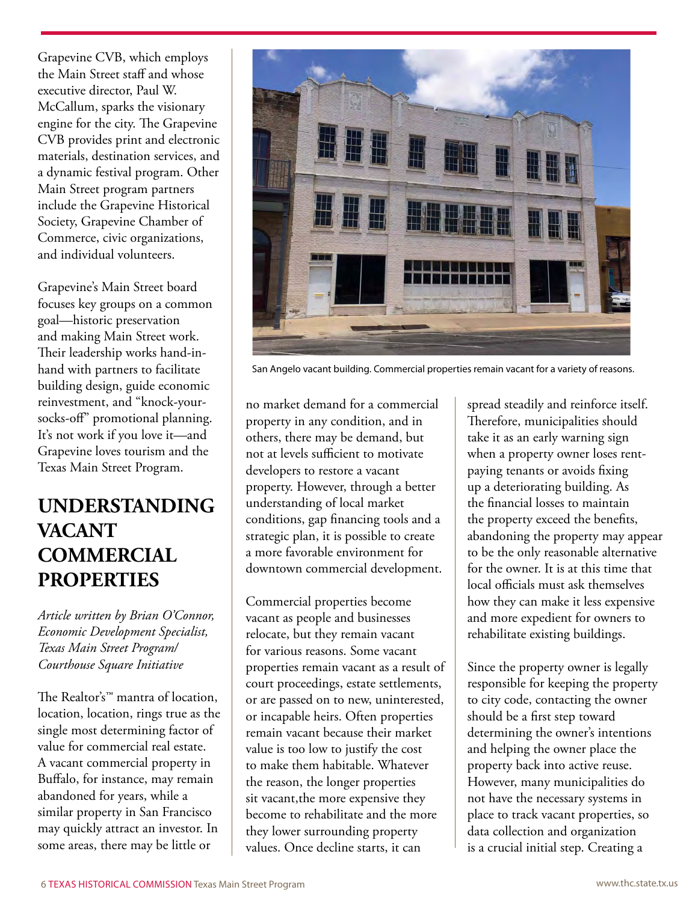Grapevine CVB, which employs the Main Street staff and whose executive director, Paul W. McCallum, sparks the visionary engine for the city. The Grapevine CVB provides print and electronic materials, destination services, and a dynamic festival program. Other Main Street program partners include the Grapevine Historical Society, Grapevine Chamber of Commerce, civic organizations, and individual volunteers.

Grapevine's Main Street board focuses key groups on a common goal—historic preservation and making Main Street work. Their leadership works hand-inhand with partners to facilitate building design, guide economic reinvestment, and "knock-yoursocks-off" promotional planning. It's not work if you love it—and Grapevine loves tourism and the Texas Main Street Program.

## **UNDERSTANDING VACANT COMMERCIAL PROPERTIES**

*Article written by Brian O'Connor, Economic Development Specialist, Texas Main Street Program/ Courthouse Square Initiative*

The Realtor's™ mantra of location, location, location, rings true as the single most determining factor of value for commercial real estate. A vacant commercial property in Buffalo, for instance, may remain abandoned for years, while a similar property in San Francisco may quickly attract an investor. In some areas, there may be little or



San Angelo vacant building. Commercial properties remain vacant for a variety of reasons.

no market demand for a commercial property in any condition, and in others, there may be demand, but not at levels sufficient to motivate developers to restore a vacant property. However, through a better understanding of local market conditions, gap financing tools and a strategic plan, it is possible to create a more favorable environment for downtown commercial development.

Commercial properties become vacant as people and businesses relocate, but they remain vacant for various reasons. Some vacant properties remain vacant as a result of court proceedings, estate settlements, or are passed on to new, uninterested, or incapable heirs. Often properties remain vacant because their market value is too low to justify the cost to make them habitable. Whatever the reason, the longer properties sit vacant, the more expensive they become to rehabilitate and the more they lower surrounding property values. Once decline starts, it can

spread steadily and reinforce itself. Therefore, municipalities should take it as an early warning sign when a property owner loses rentpaying tenants or avoids fixing up a deteriorating building. As the financial losses to maintain the property exceed the benefits, abandoning the property may appear to be the only reasonable alternative for the owner. It is at this time that local officials must ask themselves how they can make it less expensive and more expedient for owners to rehabilitate existing buildings.

Since the property owner is legally responsible for keeping the property to city code, contacting the owner should be a first step toward determining the owner's intentions and helping the owner place the property back into active reuse. However, many municipalities do not have the necessary systems in place to track vacant properties, so data collection and organization is a crucial initial step. Creating a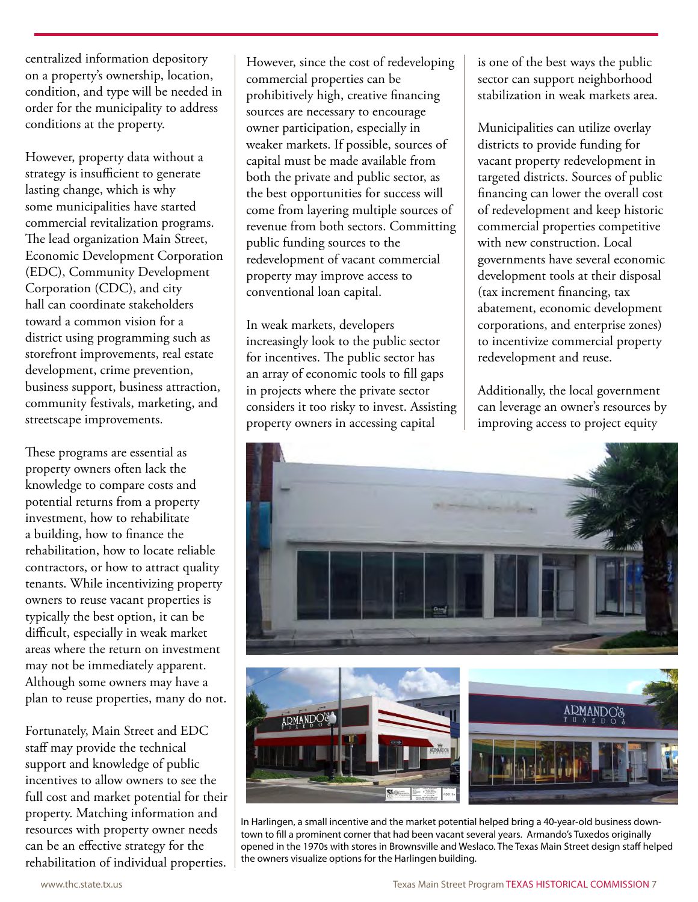centralized information depository on a property's ownership, location, condition, and type will be needed in order for the municipality to address conditions at the property.

However, property data without a strategy is insufficient to generate lasting change, which is why some municipalities have started commercial revitalization programs. The lead organization Main Street, Economic Development Corporation (EDC), Community Development Corporation (CDC), and city hall can coordinate stakeholders toward a common vision for a district using programming such as storefront improvements, real estate development, crime prevention, business support, business attraction, community festivals, marketing, and streetscape improvements.

These programs are essential as property owners often lack the knowledge to compare costs and potential returns from a property investment, how to rehabilitate a building, how to finance the rehabilitation, how to locate reliable contractors, or how to attract quality tenants. While incentivizing property owners to reuse vacant properties is typically the best option, it can be difficult, especially in weak market areas where the return on investment may not be immediately apparent. Although some owners may have a plan to reuse properties, many do not.

Fortunately, Main Street and EDC staff may provide the technical support and knowledge of public incentives to allow owners to see the full cost and market potential for their property. Matching information and resources with property owner needs can be an effective strategy for the rehabilitation of individual properties.

However, since the cost of redeveloping commercial properties can be prohibitively high, creative financing sources are necessary to encourage owner participation, especially in weaker markets. If possible, sources of capital must be made available from both the private and public sector, as the best opportunities for success will come from layering multiple sources of revenue from both sectors. Committing public funding sources to the redevelopment of vacant commercial property may improve access to conventional loan capital.

In weak markets, developers increasingly look to the public sector for incentives. The public sector has an array of economic tools to fill gaps in projects where the private sector considers it too risky to invest. Assisting property owners in accessing capital

is one of the best ways the public sector can support neighborhood stabilization in weak markets area.

Municipalities can utilize overlay districts to provide funding for vacant property redevelopment in targeted districts. Sources of public financing can lower the overall cost of redevelopment and keep historic commercial properties competitive with new construction. Local governments have several economic development tools at their disposal (tax increment financing, tax abatement, economic development corporations, and enterprise zones) to incentivize commercial property redevelopment and reuse.

Additionally, the local government can leverage an owner's resources by improving access to project equity



In Harlingen, a small incentive and the market potential helped bring a 40-year-old business downtown to fill a prominent corner that had been vacant several years. Armando's Tuxedos originally opened in the 1970s with stores in Brownsville and Weslaco. The Texas Main Street design staff helped the owners visualize options for the Harlingen building.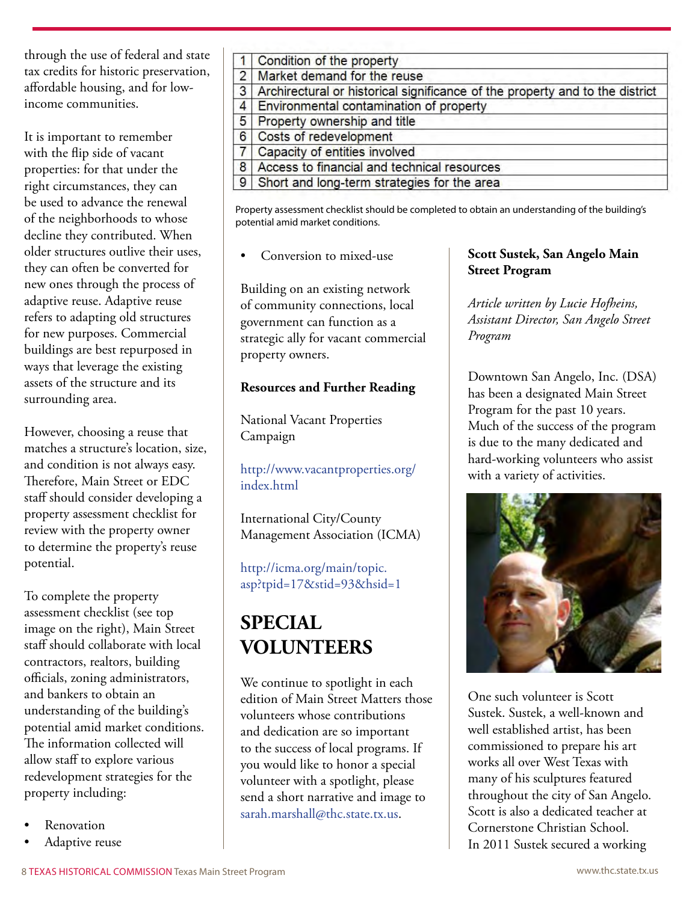through the use of federal and state tax credits for historic preservation, affordable housing, and for lowincome communities.

It is important to remember with the flip side of vacant properties: for that under the right circumstances, they can be used to advance the renewal of the neighborhoods to whose decline they contributed. When older structures outlive their uses, they can often be converted for new ones through the process of adaptive reuse. Adaptive reuse refers to adapting old structures for new purposes. Commercial buildings are best repurposed in ways that leverage the existing assets of the structure and its surrounding area.

However, choosing a reuse that matches a structure's location, size, and condition is not always easy. Therefore, Main Street or EDC staff should consider developing a property assessment checklist for review with the property owner to determine the property's reuse potential.

To complete the property assessment checklist (see top image on the right), Main Street staff should collaborate with local contractors, realtors, building officials, zoning administrators, and bankers to obtain an understanding of the building's potential amid market conditions. The information collected will allow staff to explore various redevelopment strategies for the property including:

- **Renovation**
- Adaptive reuse

|                | 1 Condition of the property                                                  |
|----------------|------------------------------------------------------------------------------|
|                | 2 Market demand for the reuse                                                |
| $\overline{3}$ | Archirectural or historical significance of the property and to the district |
|                | 4 Environmental contamination of property                                    |
|                | 5 Property ownership and title                                               |
| 6              | Costs of redevelopment                                                       |
| $\overline{7}$ | Capacity of entities involved                                                |
| 8              | Access to financial and technical resources                                  |
|                | 9 Short and long-term strategies for the area                                |

Property assessment checklist should be completed to obtain an understanding of the building's potential amid market conditions.

Conversion to mixed-use

Building on an existing network of community connections, local government can function as a strategic ally for vacant commercial property owners.

#### **Resources and Further Reading**

National Vacant Properties Campaign

[http://www.vacantproperties.org/](http://www.vacantproperties.org/index.html) [index.html](http://www.vacantproperties.org/index.html)

International City/County Management Association (ICMA)

[http://icma.org/main/topic.](http://icma.org/main/topic.asp?tpid=17&stid=93&hsid=1) [asp?tpid=17&stid=93&hsid=1](http://icma.org/main/topic.asp?tpid=17&stid=93&hsid=1)

# **SPECIAL VOLUNTEERS**

We continue to spotlight in each edition of Main Street Matters those volunteers whose contributions and dedication are so important to the success of local programs. If you would like to honor a special volunteer with a spotlight, please send a short narrative and image to [sarah.marshall@thc.state.tx.us](mailto:?subject=).

#### **Scott Sustek, San Angelo Main Street Program**

*Article written by Lucie Hofheins, Assistant Director, San Angelo Street Program*

Downtown San Angelo, Inc. (DSA) has been a designated Main Street Program for the past 10 years. Much of the success of the program is due to the many dedicated and hard-working volunteers who assist with a variety of activities.



One such volunteer is Scott Sustek. Sustek, a well-known and well established artist, has been commissioned to prepare his art works all over West Texas with many of his sculptures featured throughout the city of San Angelo. Scott is also a dedicated teacher at Cornerstone Christian School. In 2011 Sustek secured a working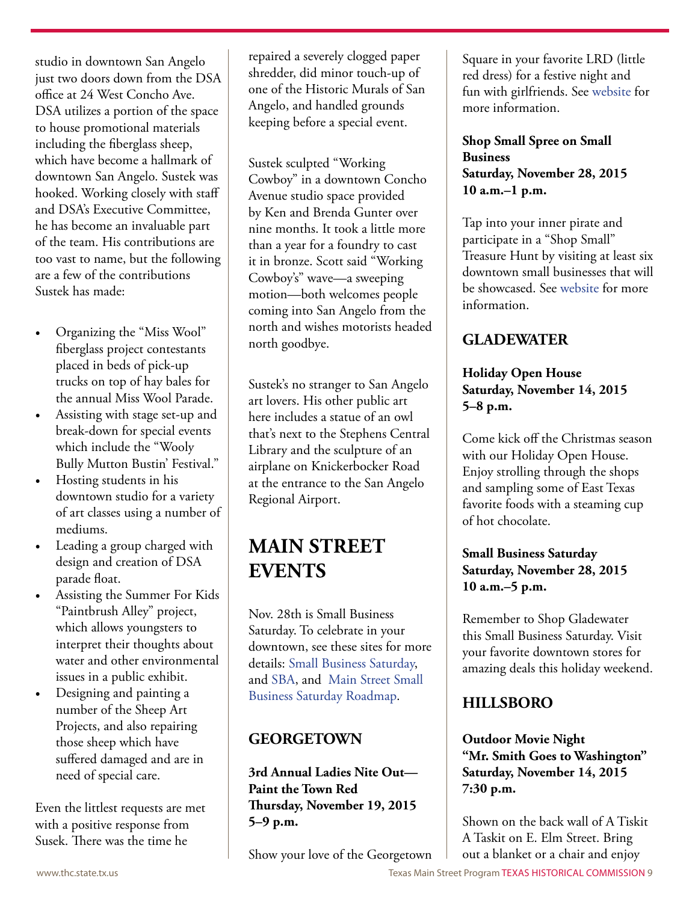studio in downtown San Angelo just two doors down from the DSA office at 24 West Concho Ave. DSA utilizes a portion of the space to house promotional materials including the fiberglass sheep, which have become a hallmark of downtown San Angelo. Sustek was hooked. Working closely with staff and DSA's Executive Committee, he has become an invaluable part of the team. His contributions are too vast to name, but the following are a few of the contributions Sustek has made:

- Organizing the "Miss Wool" fiberglass project contestants placed in beds of pick-up trucks on top of hay bales for the annual Miss Wool Parade.
- Assisting with stage set-up and break-down for special events which include the "Wooly Bully Mutton Bustin' Festival."
- Hosting students in his downtown studio for a variety of art classes using a number of mediums.
- Leading a group charged with design and creation of DSA parade float.
- • Assisting the Summer For Kids "Paintbrush Alley" project, which allows youngsters to interpret their thoughts about water and other environmental issues in a public exhibit.
- Designing and painting a number of the Sheep Art Projects, and also repairing those sheep which have suffered damaged and are in need of special care.

Even the littlest requests are met with a positive response from Susek. There was the time he

repaired a severely clogged paper shredder, did minor touch-up of one of the Historic Murals of San Angelo, and handled grounds keeping before a special event.

Sustek sculpted "Working Cowboy" in a downtown Concho Avenue studio space provided by Ken and Brenda Gunter over nine months. It took a little more than a year for a foundry to cast it in bronze. Scott said "Working Cowboy's" wave—a sweeping motion—both welcomes people coming into San Angelo from the north and wishes motorists headed north goodbye.

Sustek's no stranger to San Angelo art lovers. His other public art here includes a statue of an owl that's next to the Stephens Central Library and the sculpture of an airplane on Knickerbocker Road at the entrance to the San Angelo Regional Airport.

## **Main Street EVENTS**

Nov. 28th is Small Business Saturday. To celebrate in your downtown, see these sites for more details: [Small Business Saturday,](https://www.americanexpress.com/us/small-business/shop-small/) and [SBA,](https://www.sba.gov/about-sba/sba-initiatives/small-business-saturday) and [Main Street Small](http://www.preservationnation.org/main-street/main-street-news/story-of-the-week/2015/a-roadmap-to-small-business.html#.Vi5g2berRpg)  [Business Saturday Roadmap](http://www.preservationnation.org/main-street/main-street-news/story-of-the-week/2015/a-roadmap-to-small-business.html#.Vi5g2berRpg).

## **GEORGETOWN**

**3rd Annual Ladies Nite Out— Paint the Town Red Thursday, November 19, 2015 5–9 p.m.**

Show your love of the Georgetown

Square in your favorite LRD (little red dress) for a festive night and fun with girlfriends. See [website](https://mainstreet.georgetown.org/play/lno-info/) for more information.

#### **Shop Small Spree on Small Business Saturday, November 28, 2015 10 a.m.–1 p.m.**

Tap into your inner pirate and participate in a "Shop Small" Treasure Hunt by visiting at least six downtown small businesses that will be showcased. See [website](https://mainstreet.georgetown.org/play/lno-info/) for more information.

### **GLADEWATER**

#### **Holiday Open House Saturday, November 14, 2015 5–8 p.m.**

Come kick off the Christmas season with our Holiday Open House. Enjoy strolling through the shops and sampling some of East Texas favorite foods with a steaming cup of hot chocolate.

#### **Small Business Saturday Saturday, November 28, 2015 10 a.m.–5 p.m.**

Remember to Shop Gladewater this Small Business Saturday. Visit your favorite downtown stores for amazing deals this holiday weekend.

## **HILLSBORO**

**Outdoor Movie Night "Mr. Smith Goes to Washington" Saturday, November 14, 2015 7:30 p.m.**

Shown on the back wall of A Tiskit A Taskit on E. Elm Street. Bring out a blanket or a chair and enjoy

www.thc.state.tx.us **Texas Main Street Program TEXAS HISTORICAL COMMISSION** 9